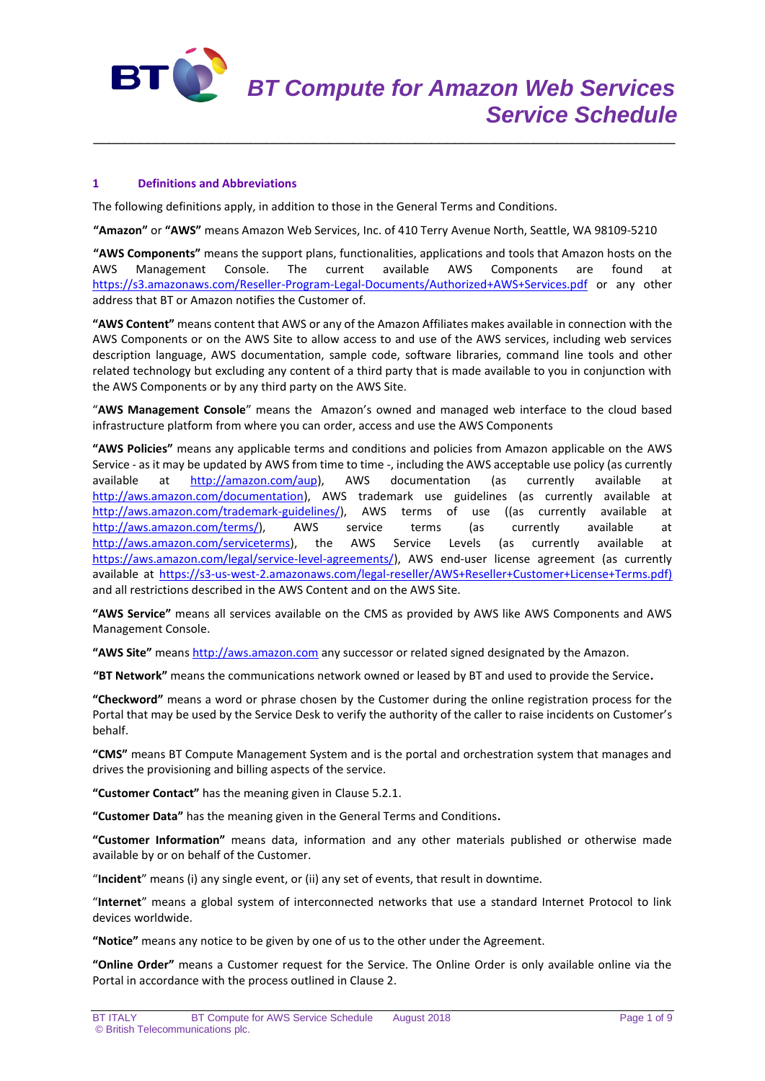

# **1 Definitions and Abbreviations**

The following definitions apply, in addition to those in the General Terms and Conditions.

**"Amazon"** or **"AWS"** means Amazon Web Services, Inc. of 410 Terry Avenue North, Seattle, WA 98109-5210

\_\_\_\_\_\_\_\_\_\_\_\_\_\_\_\_\_\_\_\_\_\_\_\_\_\_\_\_\_\_\_\_\_\_\_\_\_\_\_\_\_\_\_\_\_\_\_\_\_\_\_\_\_\_\_\_\_\_\_\_\_\_\_\_\_\_\_\_\_\_\_\_\_\_

**"AWS Components"** means the support plans, functionalities, applications and tools that Amazon hosts on the AWS Management Console. The current available AWS Components are found at <https://s3.amazonaws.com/Reseller-Program-Legal-Documents/Authorized+AWS+Services.pdf> or any other address that BT or Amazon notifies the Customer of.

**"AWS Content"** means content that AWS or any of the Amazon Affiliates makes available in connection with the AWS Components or on the AWS Site to allow access to and use of the AWS services, including web services description language, AWS documentation, sample code, software libraries, command line tools and other related technology but excluding any content of a third party that is made available to you in conjunction with the AWS Components or by any third party on the AWS Site.

"**AWS Management Console**" means the Amazon's owned and managed web interface to the cloud based infrastructure platform from where you can order, access and use the AWS Components

**"AWS Policies"** means any applicable terms and conditions and policies from Amazon applicable on the AWS Service - as it may be updated by AWS from time to time -, including the AWS acceptable use policy (as currently available at **[http://amazon.com/aup\)](http://amazon.com/aup)**, AWS documentation (as currently available at [http://aws.amazon.com/documentation\)](http://aws.amazon.com/documentation), AWS trademark use guidelines (as currently available at [http://aws.amazon.com/trademark-guidelines/\)](http://aws.amazon.com/trademark-guidelines/), AWS terms of use ((as currently available at [http://aws.amazon.com/terms/\)](http://aws.amazon.com/terms/), AWS service terms (as currently available at [http://aws.amazon.com/serviceterms\)](http://aws.amazon.com/serviceterms), the AWS Service Levels (as currently available at [https://aws.amazon.com/legal/service-level-agreements/\)](https://aws.amazon.com/legal/service-level-agreements/), AWS end-user license agreement (as currently available at [https://s3-us-west-2.amazonaws.com/legal-reseller/AWS+Reseller+Customer+License+Terms.pdf\)](https://s3-us-west-2.amazonaws.com/legal-reseller/AWS+Reseller+Customer+License+Terms.pdf) and all restrictions described in the AWS Content and on the AWS Site.

**"AWS Service"** means all services available on the CMS as provided by AWS like AWS Components and AWS Management Console.

**"AWS Site"** means [http://aws.amazon.com](http://aws.amazon.com/) any successor or related signed designated by the Amazon.

**"BT Network"** means the communications network owned or leased by BT and used to provide the Service**.**

**"Checkword"** means a word or phrase chosen by the Customer during the online registration process for the Portal that may be used by the Service Desk to verify the authority of the caller to raise incidents on Customer's behalf.

**"CMS"** means BT Compute Management System and is the portal and orchestration system that manages and drives the provisioning and billing aspects of the service.

**"Customer Contact"** has the meaning given in Clause 5.2.1.

**"Customer Data"** has the meaning given in the General Terms and Conditions**.**

**"Customer Information"** means data, information and any other materials published or otherwise made available by or on behalf of the Customer.

"**Incident**" means (i) any single event, or (ii) any set of events, that result in downtime.

"**Internet**" means a global system of interconnected networks that use a standard Internet Protocol to link devices worldwide.

**"Notice"** means any notice to be given by one of us to the other under the Agreement.

**"Online Order"** means a Customer request for the Service. The Online Order is only available online via the Portal in accordance with the process outlined in Clause 2.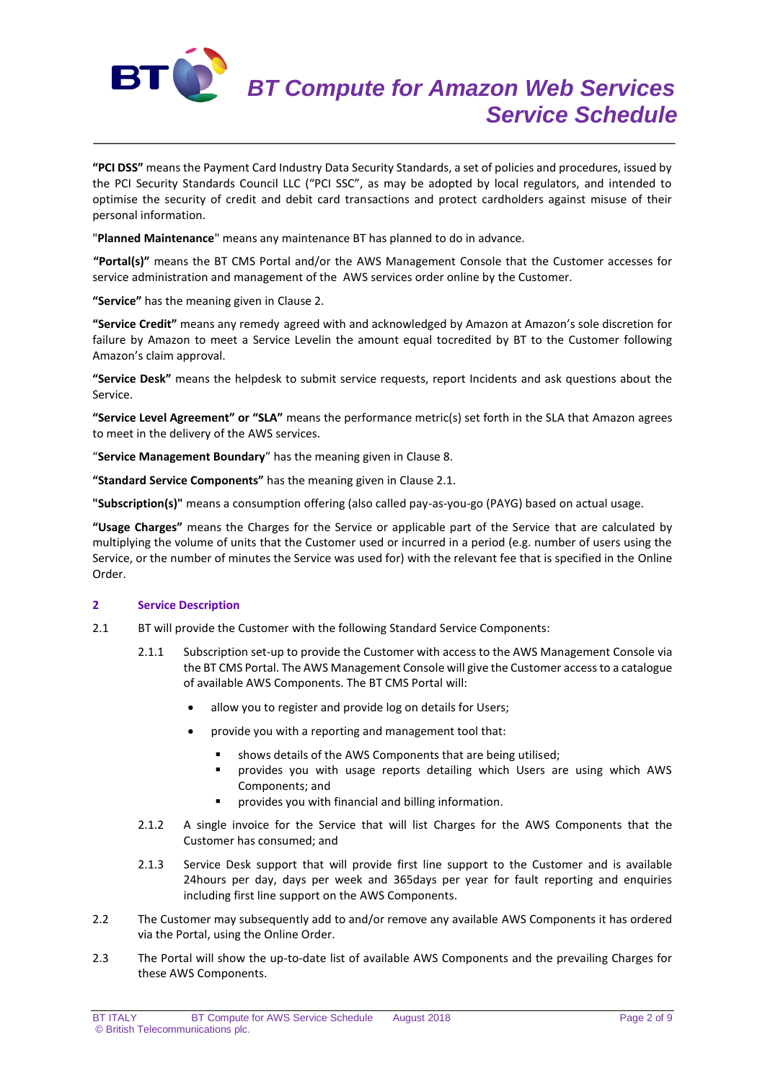

**"PCI DSS"** means the Payment Card Industry Data Security Standards, a set of policies and procedures, issued by the PCI Security Standards Council LLC ("PCI SSC", as may be adopted by local regulators, and intended to optimise the security of credit and debit card transactions and protect cardholders against misuse of their personal information.

\_\_\_\_\_\_\_\_\_\_\_\_\_\_\_\_\_\_\_\_\_\_\_\_\_\_\_\_\_\_\_\_\_\_\_\_\_\_\_\_\_\_\_\_\_\_\_\_\_\_\_\_\_\_\_\_\_\_\_\_\_\_\_\_\_\_\_\_\_\_\_\_\_\_

"**Planned Maintenance**" means any maintenance BT has planned to do in advance.

**"Portal(s)"** means the BT CMS Portal and/or the AWS Management Console that the Customer accesses for service administration and management of the AWS services order online by the Customer.

**"Service"** has the meaning given in Clause 2.

**"Service Credit"** means any remedy agreed with and acknowledged by Amazon at Amazon's sole discretion for failure by Amazon to meet a Service Levelin the amount equal tocredited by BT to the Customer following Amazon's claim approval.

**"Service Desk"** means the helpdesk to submit service requests, report Incidents and ask questions about the Service.

**"Service Level Agreement" or "SLA"** means the performance metric(s) set forth in the SLA that Amazon agrees to meet in the delivery of the AWS services.

"**Service Management Boundary**" has the meaning given in Clause 8.

**"Standard Service Components"** has the meaning given in Clause 2.1.

**"Subscription(s)"** means a consumption offering (also called pay-as-you-go (PAYG) based on actual usage.

**"Usage Charges"** means the Charges for the Service or applicable part of the Service that are calculated by multiplying the volume of units that the Customer used or incurred in a period (e.g. number of users using the Service, or the number of minutes the Service was used for) with the relevant fee that is specified in the Online Order.

# **2 Service Description**

- 2.1 BT will provide the Customer with the following Standard Service Components:
	- 2.1.1 Subscription set-up to provide the Customer with access to the AWS Management Console via the BT CMS Portal. The AWS Management Console will give the Customer access to a catalogue of available AWS Components. The BT CMS Portal will:
		- allow you to register and provide log on details for Users;
		- provide you with a reporting and management tool that:
			- shows details of the AWS Components that are being utilised;
			- provides you with usage reports detailing which Users are using which AWS Components; and
			- provides you with financial and billing information.
	- 2.1.2 A single invoice for the Service that will list Charges for the AWS Components that the Customer has consumed; and
	- 2.1.3 Service Desk support that will provide first line support to the Customer and is available 24hours per day, days per week and 365days per year for fault reporting and enquiries including first line support on the AWS Components.
- 2.2 The Customer may subsequently add to and/or remove any available AWS Components it has ordered via the Portal, using the Online Order.
- 2.3 The Portal will show the up-to-date list of available AWS Components and the prevailing Charges for these AWS Components.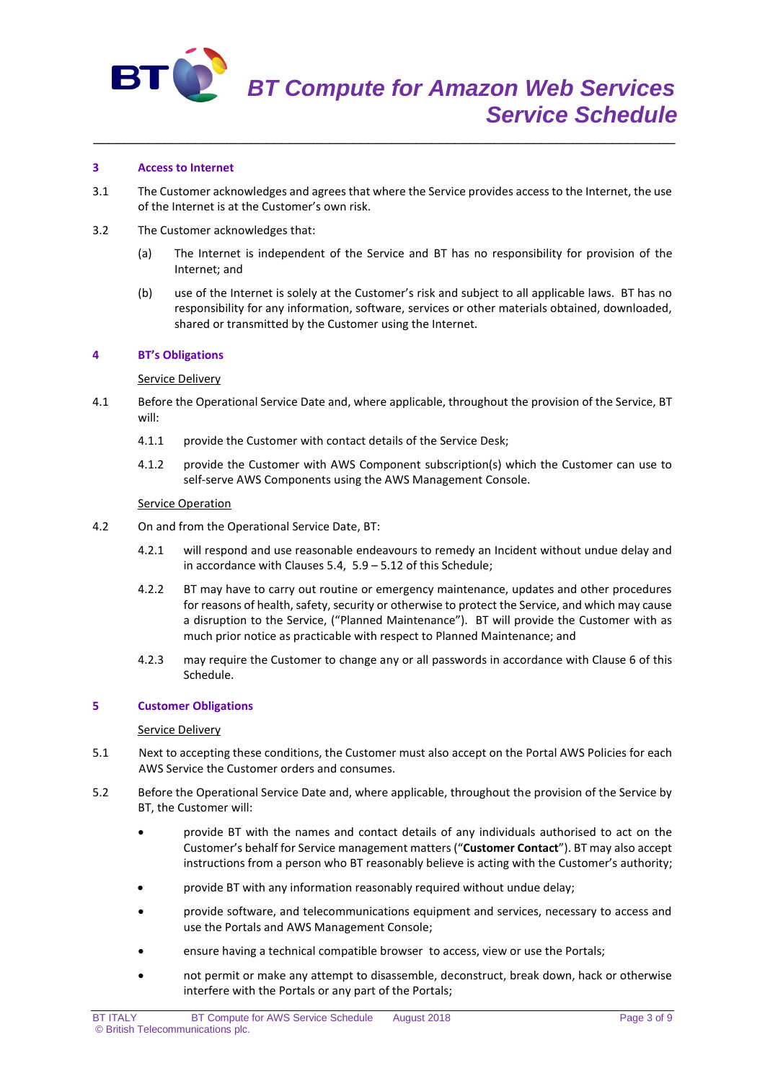

## **3 Access to Internet**

3.1 The Customer acknowledges and agrees that where the Service provides access to the Internet, the use of the Internet is at the Customer's own risk.

\_\_\_\_\_\_\_\_\_\_\_\_\_\_\_\_\_\_\_\_\_\_\_\_\_\_\_\_\_\_\_\_\_\_\_\_\_\_\_\_\_\_\_\_\_\_\_\_\_\_\_\_\_\_\_\_\_\_\_\_\_\_\_\_\_\_\_\_\_\_\_\_\_\_

- 3.2 The Customer acknowledges that:
	- (a) The Internet is independent of the Service and BT has no responsibility for provision of the Internet; and
	- (b) use of the Internet is solely at the Customer's risk and subject to all applicable laws. BT has no responsibility for any information, software, services or other materials obtained, downloaded, shared or transmitted by the Customer using the Internet.

## **4 BT's Obligations**

## Service Delivery

- 4.1 Before the Operational Service Date and, where applicable, throughout the provision of the Service, BT will:
	- 4.1.1 provide the Customer with contact details of the Service Desk;
	- 4.1.2 provide the Customer with AWS Component subscription(s) which the Customer can use to self-serve AWS Components using the AWS Management Console.

## Service Operation

- 4.2 On and from the Operational Service Date, BT:
	- 4.2.1 will respond and use reasonable endeavours to remedy an Incident without undue delay and in accordance with Clauses 5.4, 5.9 – 5.12 of this Schedule;
	- 4.2.2 BT may have to carry out routine or emergency maintenance, updates and other procedures for reasons of health, safety, security or otherwise to protect the Service, and which may cause a disruption to the Service, ("Planned Maintenance"). BT will provide the Customer with as much prior notice as practicable with respect to Planned Maintenance; and
	- 4.2.3 may require the Customer to change any or all passwords in accordance with Clause 6 of this Schedule.

## **5 Customer Obligations**

## Service Delivery

- 5.1 Next to accepting these conditions, the Customer must also accept on the Portal AWS Policies for each AWS Service the Customer orders and consumes.
- 5.2 Before the Operational Service Date and, where applicable, throughout the provision of the Service by BT, the Customer will:
	- provide BT with the names and contact details of any individuals authorised to act on the Customer's behalf for Service management matters ("**Customer Contact**"). BT may also accept instructions from a person who BT reasonably believe is acting with the Customer's authority;
	- provide BT with any information reasonably required without undue delay;
	- provide software, and telecommunications equipment and services, necessary to access and use the Portals and AWS Management Console;
	- ensure having a technical compatible browser to access, view or use the Portals;
	- not permit or make any attempt to disassemble, deconstruct, break down, hack or otherwise interfere with the Portals or any part of the Portals;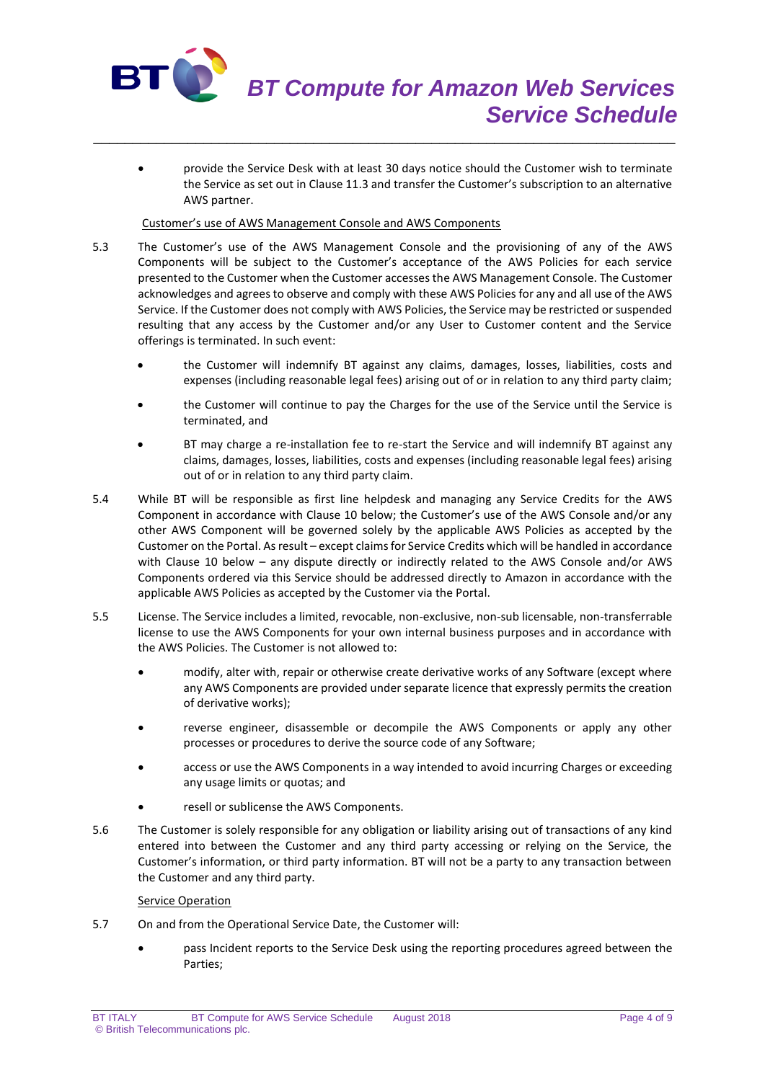

 provide the Service Desk with at least 30 days notice should the Customer wish to terminate the Service as set out in Clause 11.3 and transfer the Customer's subscription to an alternative AWS partner.

\_\_\_\_\_\_\_\_\_\_\_\_\_\_\_\_\_\_\_\_\_\_\_\_\_\_\_\_\_\_\_\_\_\_\_\_\_\_\_\_\_\_\_\_\_\_\_\_\_\_\_\_\_\_\_\_\_\_\_\_\_\_\_\_\_\_\_\_\_\_\_\_\_\_

# Customer's use of AWS Management Console and AWS Components

- 5.3 The Customer's use of the AWS Management Console and the provisioning of any of the AWS Components will be subject to the Customer's acceptance of the AWS Policies for each service presented to the Customer when the Customer accesses the AWS Management Console. The Customer acknowledges and agrees to observe and comply with these AWS Policies for any and all use of the AWS Service. If the Customer does not comply with AWS Policies, the Service may be restricted or suspended resulting that any access by the Customer and/or any User to Customer content and the Service offerings is terminated. In such event:
	- the Customer will indemnify BT against any claims, damages, losses, liabilities, costs and expenses (including reasonable legal fees) arising out of or in relation to any third party claim;
	- the Customer will continue to pay the Charges for the use of the Service until the Service is terminated, and
	- BT may charge a re-installation fee to re-start the Service and will indemnify BT against any claims, damages, losses, liabilities, costs and expenses (including reasonable legal fees) arising out of or in relation to any third party claim.
- 5.4 While BT will be responsible as first line helpdesk and managing any Service Credits for the AWS Component in accordance with Clause 10 below; the Customer's use of the AWS Console and/or any other AWS Component will be governed solely by the applicable AWS Policies as accepted by the Customer on the Portal. As result – except claims for Service Credits which will be handled in accordance with Clause 10 below – any dispute directly or indirectly related to the AWS Console and/or AWS Components ordered via this Service should be addressed directly to Amazon in accordance with the applicable AWS Policies as accepted by the Customer via the Portal.
- 5.5 License. The Service includes a limited, revocable, non-exclusive, non-sub licensable, non-transferrable license to use the AWS Components for your own internal business purposes and in accordance with the AWS Policies. The Customer is not allowed to:
	- modify, alter with, repair or otherwise create derivative works of any Software (except where any AWS Components are provided under separate licence that expressly permits the creation of derivative works);
	- reverse engineer, disassemble or decompile the AWS Components or apply any other processes or procedures to derive the source code of any Software;
	- access or use the AWS Components in a way intended to avoid incurring Charges or exceeding any usage limits or quotas; and
	- resell or sublicense the AWS Components.
- 5.6 The Customer is solely responsible for any obligation or liability arising out of transactions of any kind entered into between the Customer and any third party accessing or relying on the Service, the Customer's information, or third party information. BT will not be a party to any transaction between the Customer and any third party.

# Service Operation

- 5.7 On and from the Operational Service Date, the Customer will:
	- pass Incident reports to the Service Desk using the reporting procedures agreed between the Parties;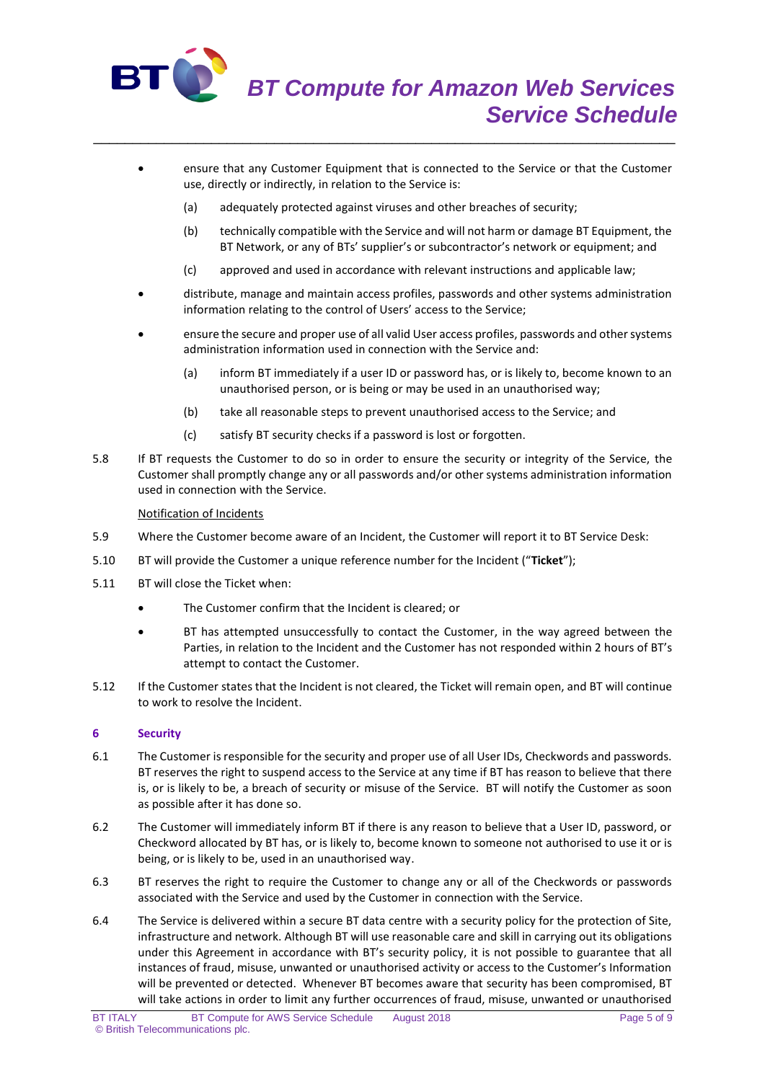

- ensure that any Customer Equipment that is connected to the Service or that the Customer use, directly or indirectly, in relation to the Service is:
	- (a) adequately protected against viruses and other breaches of security;

\_\_\_\_\_\_\_\_\_\_\_\_\_\_\_\_\_\_\_\_\_\_\_\_\_\_\_\_\_\_\_\_\_\_\_\_\_\_\_\_\_\_\_\_\_\_\_\_\_\_\_\_\_\_\_\_\_\_\_\_\_\_\_\_\_\_\_\_\_\_\_\_\_\_

- (b) technically compatible with the Service and will not harm or damage BT Equipment, the BT Network, or any of BTs' supplier's or subcontractor's network or equipment; and
- (c) approved and used in accordance with relevant instructions and applicable law;
- distribute, manage and maintain access profiles, passwords and other systems administration information relating to the control of Users' access to the Service;
- ensure the secure and proper use of all valid User access profiles, passwords and other systems administration information used in connection with the Service and:
	- (a) inform BT immediately if a user ID or password has, or is likely to, become known to an unauthorised person, or is being or may be used in an unauthorised way;
	- (b) take all reasonable steps to prevent unauthorised access to the Service; and
	- (c) satisfy BT security checks if a password is lost or forgotten.
- 5.8 If BT requests the Customer to do so in order to ensure the security or integrity of the Service, the Customer shall promptly change any or all passwords and/or other systems administration information used in connection with the Service.

# Notification of Incidents

- 5.9 Where the Customer become aware of an Incident, the Customer will report it to BT Service Desk:
- 5.10 BT will provide the Customer a unique reference number for the Incident ("**Ticket**");
- 5.11 BT will close the Ticket when:
	- The Customer confirm that the Incident is cleared; or
	- BT has attempted unsuccessfully to contact the Customer, in the way agreed between the Parties, in relation to the Incident and the Customer has not responded within 2 hours of BT's attempt to contact the Customer.
- 5.12 If the Customer states that the Incident is not cleared, the Ticket will remain open, and BT will continue to work to resolve the Incident.

# **6 Security**

- 6.1 The Customer is responsible for the security and proper use of all User IDs, Checkwords and passwords. BT reserves the right to suspend access to the Service at any time if BT has reason to believe that there is, or is likely to be, a breach of security or misuse of the Service. BT will notify the Customer as soon as possible after it has done so.
- 6.2 The Customer will immediately inform BT if there is any reason to believe that a User ID, password, or Checkword allocated by BT has, or is likely to, become known to someone not authorised to use it or is being, or is likely to be, used in an unauthorised way.
- 6.3 BT reserves the right to require the Customer to change any or all of the Checkwords or passwords associated with the Service and used by the Customer in connection with the Service.
- 6.4 The Service is delivered within a secure BT data centre with a security policy for the protection of Site, infrastructure and network. Although BT will use reasonable care and skill in carrying out its obligations under this Agreement in accordance with BT's security policy, it is not possible to guarantee that all instances of fraud, misuse, unwanted or unauthorised activity or access to the Customer's Information will be prevented or detected. Whenever BT becomes aware that security has been compromised, BT will take actions in order to limit any further occurrences of fraud, misuse, unwanted or unauthorised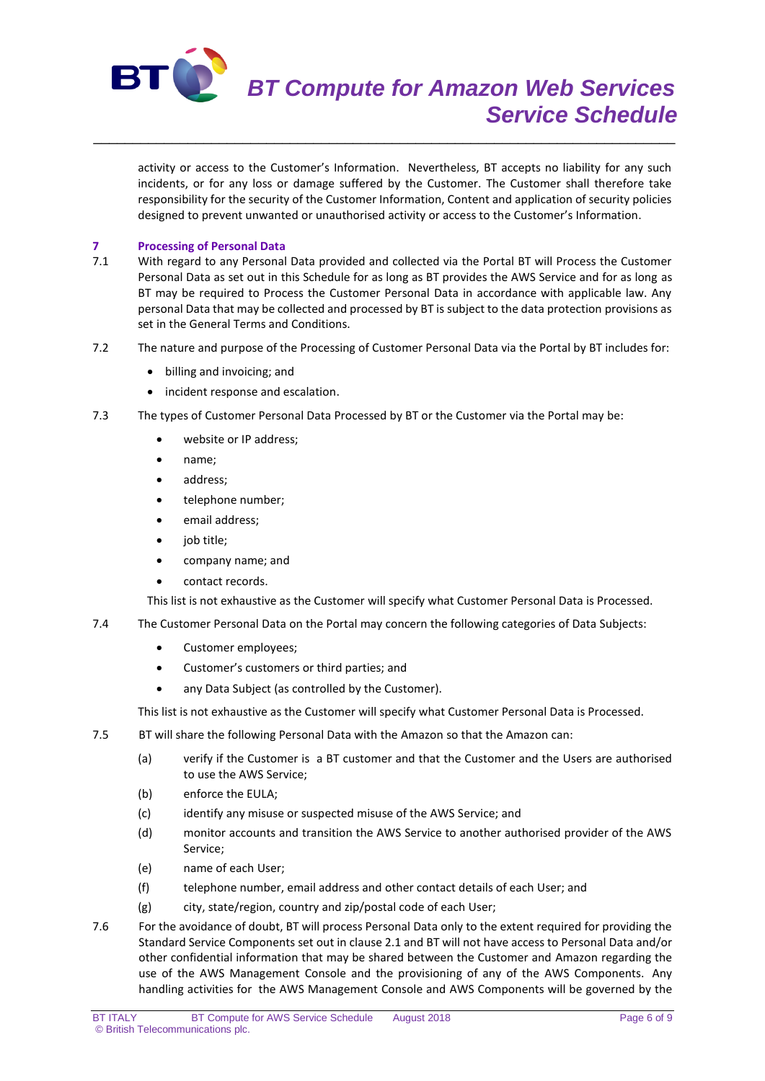

activity or access to the Customer's Information. Nevertheless, BT accepts no liability for any such incidents, or for any loss or damage suffered by the Customer. The Customer shall therefore take responsibility for the security of the Customer Information, Content and application of security policies designed to prevent unwanted or unauthorised activity or access to the Customer's Information.

# **7 Processing of Personal Data**<br>**7.1** With regard to any Personal

7.1 With regard to any Personal Data provided and collected via the Portal BT will Process the Customer Personal Data as set out in this Schedule for as long as BT provides the AWS Service and for as long as BT may be required to Process the Customer Personal Data in accordance with applicable law. Any personal Data that may be collected and processed by BT is subject to the data protection provisions as set in the General Terms and Conditions.

\_\_\_\_\_\_\_\_\_\_\_\_\_\_\_\_\_\_\_\_\_\_\_\_\_\_\_\_\_\_\_\_\_\_\_\_\_\_\_\_\_\_\_\_\_\_\_\_\_\_\_\_\_\_\_\_\_\_\_\_\_\_\_\_\_\_\_\_\_\_\_\_\_\_

- 7.2 The nature and purpose of the Processing of Customer Personal Data via the Portal by BT includes for:
	- billing and invoicing; and
	- incident response and escalation.
- 7.3 The types of Customer Personal Data Processed by BT or the Customer via the Portal may be:
	- website or IP address;
	- name;
	- address;
	- telephone number;
	- email address;
	- job title;
	- company name; and
	- contact records.

This list is not exhaustive as the Customer will specify what Customer Personal Data is Processed.

- 7.4 The Customer Personal Data on the Portal may concern the following categories of Data Subjects:
	- Customer employees:
	- Customer's customers or third parties; and
	- any Data Subject (as controlled by the Customer).

This list is not exhaustive as the Customer will specify what Customer Personal Data is Processed.

- 7.5 BT will share the following Personal Data with the Amazon so that the Amazon can:
	- (a) verify if the Customer is a BT customer and that the Customer and the Users are authorised to use the AWS Service;
	- (b) enforce the EULA;
	- (c) identify any misuse or suspected misuse of the AWS Service; and
	- (d) monitor accounts and transition the AWS Service to another authorised provider of the AWS Service;
	- (e) name of each User;
	- (f) telephone number, email address and other contact details of each User; and
	- (g) city, state/region, country and zip/postal code of each User;
- 7.6 For the avoidance of doubt, BT will process Personal Data only to the extent required for providing the Standard Service Components set out in clause 2.1 and BT will not have access to Personal Data and/or other confidential information that may be shared between the Customer and Amazon regarding the use of the AWS Management Console and the provisioning of any of the AWS Components. Any handling activities for the AWS Management Console and AWS Components will be governed by the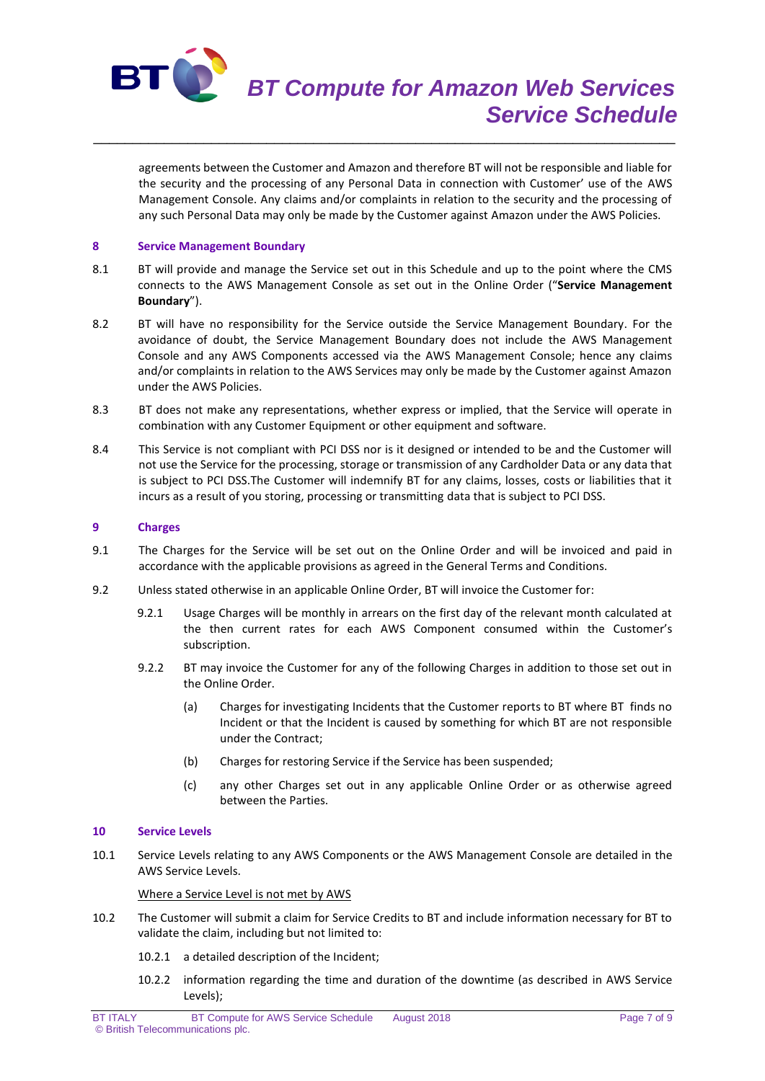

\_\_\_\_\_\_\_\_\_\_\_\_\_\_\_\_\_\_\_\_\_\_\_\_\_\_\_\_\_\_\_\_\_\_\_\_\_\_\_\_\_\_\_\_\_\_\_\_\_\_\_\_\_\_\_\_\_\_\_\_\_\_\_\_\_\_\_\_\_\_\_\_\_\_

agreements between the Customer and Amazon and therefore BT will not be responsible and liable for the security and the processing of any Personal Data in connection with Customer' use of the AWS Management Console. Any claims and/or complaints in relation to the security and the processing of any such Personal Data may only be made by the Customer against Amazon under the AWS Policies.

# **8 Service Management Boundary**

- 8.1 BT will provide and manage the Service set out in this Schedule and up to the point where the CMS connects to the AWS Management Console as set out in the Online Order ("**Service Management Boundary**").
- 8.2 BT will have no responsibility for the Service outside the Service Management Boundary. For the avoidance of doubt, the Service Management Boundary does not include the AWS Management Console and any AWS Components accessed via the AWS Management Console; hence any claims and/or complaints in relation to the AWS Services may only be made by the Customer against Amazon under the AWS Policies.
- 8.3 BT does not make any representations, whether express or implied, that the Service will operate in combination with any Customer Equipment or other equipment and software.
- 8.4 This Service is not compliant with PCI DSS nor is it designed or intended to be and the Customer will not use the Service for the processing, storage or transmission of any Cardholder Data or any data that is subject to PCI DSS.The Customer will indemnify BT for any claims, losses, costs or liabilities that it incurs as a result of you storing, processing or transmitting data that is subject to PCI DSS.

# **9 Charges**

- 9.1 The Charges for the Service will be set out on the Online Order and will be invoiced and paid in accordance with the applicable provisions as agreed in the General Terms and Conditions.
- 9.2 Unless stated otherwise in an applicable Online Order, BT will invoice the Customer for:
	- 9.2.1 Usage Charges will be monthly in arrears on the first day of the relevant month calculated at the then current rates for each AWS Component consumed within the Customer's subscription.
	- 9.2.2 BT may invoice the Customer for any of the following Charges in addition to those set out in the Online Order.
		- (a) Charges for investigating Incidents that the Customer reports to BT where BT finds no Incident or that the Incident is caused by something for which BT are not responsible under the Contract;
		- (b) Charges for restoring Service if the Service has been suspended;
		- (c) any other Charges set out in any applicable Online Order or as otherwise agreed between the Parties.

## **10 Service Levels**

10.1 Service Levels relating to any AWS Components or the AWS Management Console are detailed in the AWS Service Levels.

Where a Service Level is not met by AWS

- 10.2 The Customer will submit a claim for Service Credits to BT and include information necessary for BT to validate the claim, including but not limited to:
	- 10.2.1 a detailed description of the Incident;
	- 10.2.2 information regarding the time and duration of the downtime (as described in AWS Service Levels);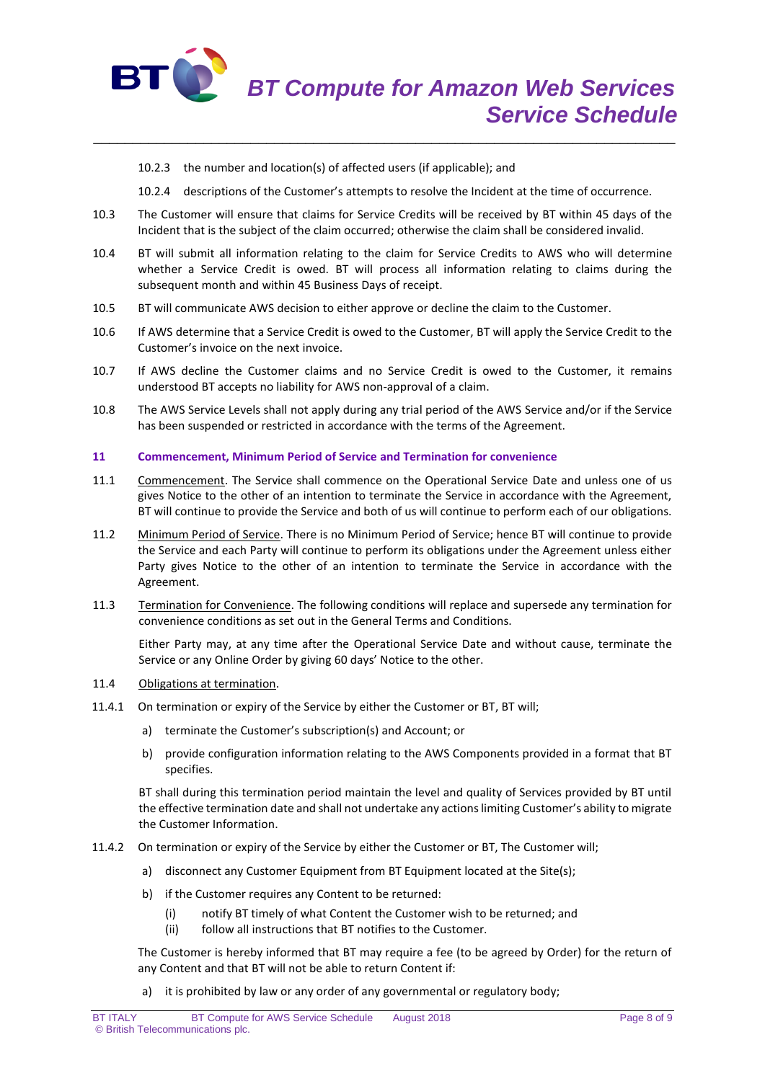

- 10.2.3 the number and location(s) of affected users (if applicable); and
- 10.2.4 descriptions of the Customer's attempts to resolve the Incident at the time of occurrence.
- 10.3 The Customer will ensure that claims for Service Credits will be received by BT within 45 days of the Incident that is the subject of the claim occurred; otherwise the claim shall be considered invalid.

\_\_\_\_\_\_\_\_\_\_\_\_\_\_\_\_\_\_\_\_\_\_\_\_\_\_\_\_\_\_\_\_\_\_\_\_\_\_\_\_\_\_\_\_\_\_\_\_\_\_\_\_\_\_\_\_\_\_\_\_\_\_\_\_\_\_\_\_\_\_\_\_\_\_

- 10.4 BT will submit all information relating to the claim for Service Credits to AWS who will determine whether a Service Credit is owed. BT will process all information relating to claims during the subsequent month and within 45 Business Days of receipt.
- 10.5 BT will communicate AWS decision to either approve or decline the claim to the Customer.
- 10.6 If AWS determine that a Service Credit is owed to the Customer, BT will apply the Service Credit to the Customer's invoice on the next invoice.
- 10.7 If AWS decline the Customer claims and no Service Credit is owed to the Customer, it remains understood BT accepts no liability for AWS non-approval of a claim.
- 10.8 The AWS Service Levels shall not apply during any trial period of the AWS Service and/or if the Service has been suspended or restricted in accordance with the terms of the Agreement.

## **11 Commencement, Minimum Period of Service and Termination for convenience**

- 11.1 Commencement. The Service shall commence on the Operational Service Date and unless one of us gives Notice to the other of an intention to terminate the Service in accordance with the Agreement, BT will continue to provide the Service and both of us will continue to perform each of our obligations.
- 11.2 Minimum Period of Service. There is no Minimum Period of Service; hence BT will continue to provide the Service and each Party will continue to perform its obligations under the Agreement unless either Party gives Notice to the other of an intention to terminate the Service in accordance with the Agreement.
- 11.3 Termination for Convenience. The following conditions will replace and supersede any termination for convenience conditions as set out in the General Terms and Conditions.

Either Party may, at any time after the Operational Service Date and without cause, terminate the Service or any Online Order by giving 60 days' Notice to the other.

# 11.4 Obligations at termination.

- 11.4.1 On termination or expiry of the Service by either the Customer or BT, BT will;
	- a) terminate the Customer's subscription(s) and Account; or
	- b) provide configuration information relating to the AWS Components provided in a format that BT specifies.

BT shall during this termination period maintain the level and quality of Services provided by BT until the effective termination date and shall not undertake any actions limiting Customer's ability to migrate the Customer Information.

- 11.4.2 On termination or expiry of the Service by either the Customer or BT, The Customer will;
	- a) disconnect any Customer Equipment from BT Equipment located at the Site(s);
	- b) if the Customer requires any Content to be returned:
		- (i) notify BT timely of what Content the Customer wish to be returned; and
		- (ii) follow all instructions that BT notifies to the Customer.

The Customer is hereby informed that BT may require a fee (to be agreed by Order) for the return of any Content and that BT will not be able to return Content if:

a) it is prohibited by law or any order of any governmental or regulatory body;